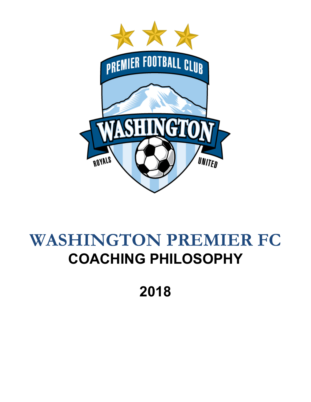

# **WASHINGTON PREMIER FC COACHING PHILOSOPHY**

**2018**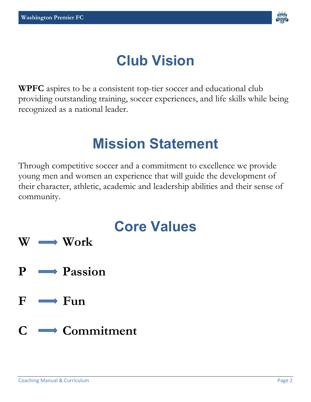

# **Club Vision**

**WPFC** aspires to be a consistent top-tier soccer and educational club providing outstanding training, soccer experiences, and life skills while being recognized as a national leader.

### **Mission Statement**

Through competitive soccer and a commitment to excellence we provide young men and women an experience that will guide the development of their character, athletic, academic and leadership abilities and their sense of community.

- **Core Values W Work**
- **P Passion**
- $F \rightarrow F$ un
- **C Commitment**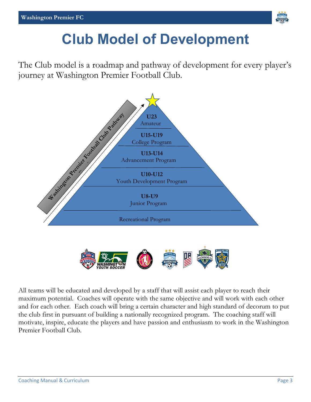

### **Club Model of Development**

The Club model is a roadmap and pathway of development for every player's journey at Washington Premier Football Club.





All teams will be educated and developed by a staff that will assist each player to reach their maximum potential. Coaches will operate with the same objective and will work with each other and for each other. Each coach will bring a certain character and high standard of decorum to put the club first in pursuant of building a nationally recognized program. The coaching staff will motivate, inspire, educate the players and have passion and enthusiasm to work in the Washington Premier Football Club.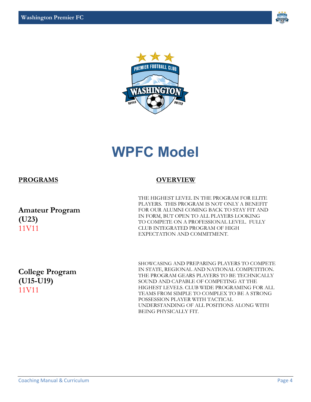



### **WPFC Model**

#### **PROGRAMS OVERVIEW**

**Amateur Program (U23)** 11V11

THE HIGHEST LEVEL IN THE PROGRAM FOR ELITE PLAYERS. THIS PROGRAM IS NOT ONLY A BENEFIT FOR OUR ALUMNI COMING BACK TO STAY FIT AND IN FORM, BUT OPEN TO ALL PLAYERS LOOKING TO COMPETE ON A PROFESSIONAL LEVEL. FULLY CLUB INTEGRATED PROGRAM OF HIGH EXPECTATION AND COMMITMENT.

**College Program (U15-U19)** 11V11

SHOWCASING AND PREPARING PLAYERS TO COMPETE IN STATE, REGIONAL AND NATIONAL COMPETITION. THE PROGRAM GEARS PLAYERS TO BE TECHNICALLY SOUND AND CAPABLE OF COMPETING AT THE HIGHEST LEVELS. CLUB WIDE PROGRAMING FOR ALL TEAMS FROM SIMPLE TO COMPLEX TO BE A STRONG POSSESSION PLAYER WITH TACTICAL UNDERSTANDING OF ALL POSITIONS ALONG WITH BEING PHYSICALLY FIT.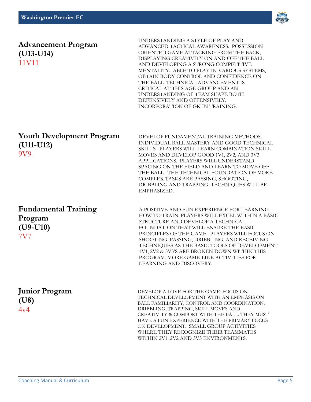

#### **Advancement Program (U13-U14)** 11V11

UNDERSTANDING A STYLE OF PLAY AND ADVANCED TACTICAL AWARENESS. POSSESSION ORIENTED GAME ATTACKING FROM THE BACK, DISPLAYING CREATIVITY ON AND OFF THE BALL AND DEVELOPING A STRONG COMPETITIVE MENTALITY. ABLE TO PLAY IN VARIOUS SYSTEMS, OBTAIN BODY CONTROL AND CONFIDENCE ON THE BALL. TECHNICAL ADVANCEMENT IS CRITICAL AT THIS AGE GROUP AND AN UNDERSTANDING OF TEAM SHAPE BOTH DEFENSIVELY AND OFFENSIVELY. INCORPORATION OF GK IN TRAINING.

#### **Youth Development Program (U11-U12)** 9V9

**Fundamental Training Program (U9-U10)** 7V7

DEVELOP FUNDAMENTAL TRAINING METHODS, INDIVIDUAL BALL MASTERY AND GOOD TECHNICAL SKILLS. PLAYERS WILL LEARN COMBINATION SKILL MOVES AND DEVELOP GOOD 1V1, 2V2, AND 3V3 APPLICATIONS. PLAYERS WILL UNDERSTAND SPACING ON THE FIELD AND LEARN TO MOVE OFF THE BALL. THE TECHNICAL FOUNDATION OF MORE COMPLEX TASKS ARE PASSING, SHOOTING, DRIBBLING AND TRAPPING. TECHNIQUES WILL BE EMPHASIZED.

A POSITIVE AND FUN EXPERIENCE FOR LEARNING HOW TO TRAIN. PLAYERS WILL EXCEL WITHIN A BASIC STRUCTURE AND DEVELOP A TECHNICAL FOUNDATION THAT WILL ENSURE THE BASIC PRINCIPLES OF THE GAME. PLAYERS WILL FOCUS ON SHOOTING, PASSING, DRIBBLING, AND RECEIVING TECHNIQUES AS THE BASIC TOOLS OF DEVELOPMENT. 1V1, 2V2 & 3V3'S ARE BROKEN DOWN WITHIN THIS PROGRAM. MORE GAME-LIKE ACTIVITIES FOR LEARNING AND DISCOVERY.

#### **Junior Program (U8)**  $4v4$

DEVELOP A LOVE FOR THE GAME. FOCUS ON TECHNICAL DEVELOPMENT WITH AN EMPHASIS ON BALL FAMILIARITY, CONTROL AND COORDINATION. DRIBBLING, TRAPPING, SKILL MOVES AND CREATIVITY & COMFORT WITH THE BALL. THEY MUST HAVE A FUN EXPERIENCE WITH THE PRIMARY FOCUS ON DEVELOPMENT. SMALL GROUP ACTIVITIES WHERE THEY RECOGNIZE THEIR TEAMMATES WITHIN 2V1, 2V2 AND 3V3 ENVIRONMENTS.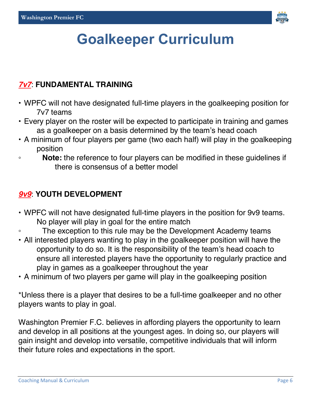

## **Goalkeeper Curriculum**

#### *7v7*: **FUNDAMENTAL TRAINING**

- WPFC will not have designated full-time players in the goalkeeping position for 7v7 teams
- Every player on the roster will be expected to participate in training and games as a goalkeeper on a basis determined by the team's head coach
- A minimum of four players per game (two each half) will play in the goalkeeping position
- **Note:** the reference to four players can be modified in these guidelines if there is consensus of a better model

### *9v9*: **YOUTH DEVELOPMENT**

- WPFC will not have designated full-time players in the position for 9v9 teams. No player will play in goal for the entire match
- The exception to this rule may be the Development Academy teams
- All interested players wanting to play in the goalkeeper position will have the opportunity to do so. It is the responsibility of the team's head coach to ensure all interested players have the opportunity to regularly practice and play in games as a goalkeeper throughout the year
- A minimum of two players per game will play in the goalkeeping position

\*Unless there is a player that desires to be a full-time goalkeeper and no other players wants to play in goal.

Washington Premier F.C. believes in affording players the opportunity to learn and develop in all positions at the youngest ages. In doing so, our players will gain insight and develop into versatile, competitive individuals that will inform their future roles and expectations in the sport.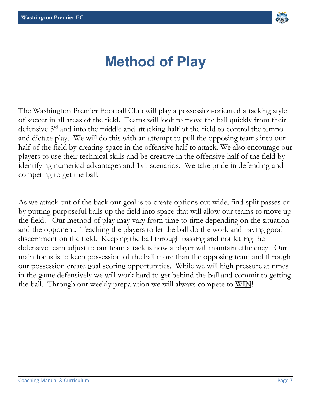

### **Method of Play**

The Washington Premier Football Club will play a possession-oriented attacking style of soccer in all areas of the field. Teams will look to move the ball quickly from their defensive 3rd and into the middle and attacking half of the field to control the tempo and dictate play. We will do this with an attempt to pull the opposing teams into our half of the field by creating space in the offensive half to attack. We also encourage our players to use their technical skills and be creative in the offensive half of the field by identifying numerical advantages and 1v1 scenarios. We take pride in defending and competing to get the ball.

As we attack out of the back our goal is to create options out wide, find split passes or by putting purposeful balls up the field into space that will allow our teams to move up the field. Our method of play may vary from time to time depending on the situation and the opponent. Teaching the players to let the ball do the work and having good discernment on the field. Keeping the ball through passing and not letting the defensive team adjust to our team attack is how a player will maintain efficiency. Our main focus is to keep possession of the ball more than the opposing team and through our possession create goal scoring opportunities. While we will high pressure at times in the game defensively we will work hard to get behind the ball and commit to getting the ball. Through our weekly preparation we will always compete to WIN!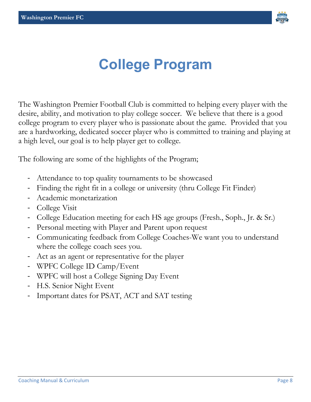

### **College Program**

The Washington Premier Football Club is committed to helping every player with the desire, ability, and motivation to play college soccer. We believe that there is a good college program to every player who is passionate about the game. Provided that you are a hardworking, dedicated soccer player who is committed to training and playing at a high level, our goal is to help player get to college.

The following are some of the highlights of the Program;

- Attendance to top quality tournaments to be showcased
- Finding the right fit in a college or university (thru College Fit Finder)
- Academic monetarization
- College Visit
- College Education meeting for each HS age groups (Fresh., Soph., Jr. & Sr.)
- Personal meeting with Player and Parent upon request
- Communicating feedback from College Coaches-We want you to understand where the college coach sees you.
- Act as an agent or representative for the player
- WPFC College ID Camp/Event
- WPFC will host a College Signing Day Event
- H.S. Senior Night Event
- Important dates for PSAT, ACT and SAT testing